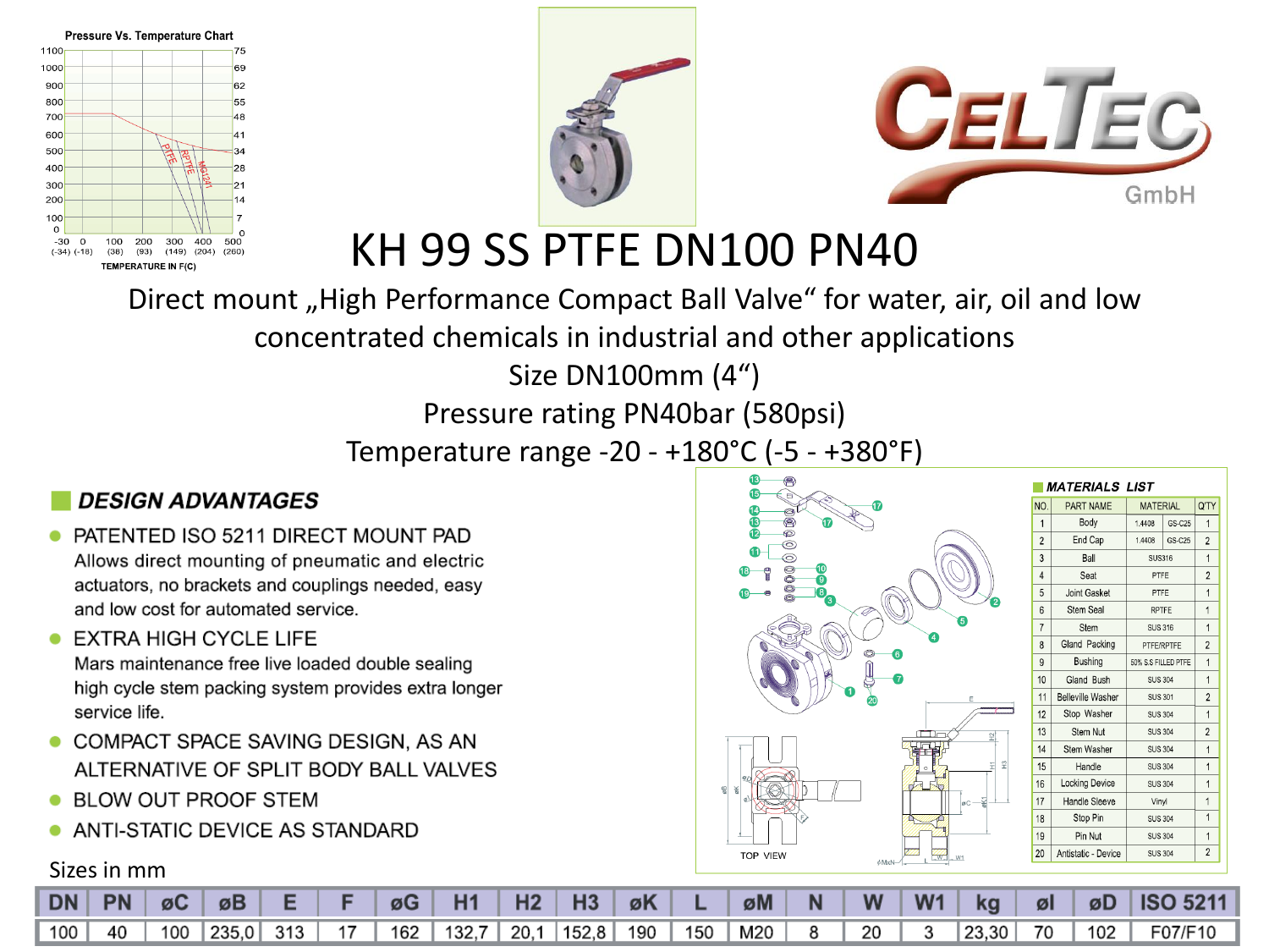





KH 99 SS PTFE DN100 PN40

Direct mount "High Performance Compact Ball Valve" for water, air, oil and low

concentrated chemicals in industrial and other applications

Size DN100mm (4")

Pressure rating PN40bar (580psi)

Temperature range -20 - +180°C (-5 - +380°F)

#### **DESIGN ADVANTAGES**

PATENTED ISO 5211 DIRECT MOUNT PAD Allows direct mounting of pneumatic and electric actuators, no brackets and couplings needed, easy and low cost for automated service.

#### EXTRA HIGH CYCLE LIFE

Mars maintenance free live loaded double sealing high cycle stem packing system provides extra longer service life.

- COMPACT SPACE SAVING DESIGN, AS AN ALTERNATIVE OF SPLIT BODY BALL VALVES
- BLOW OUT PROOF STEM
- ANTI-STATIC DEVICE AS STANDARD

#### Sizes in mm

| $\bf{C}$<br>⊜<br>6000<br>e<br>000000000<br>$\bf \Phi$<br>$\bf \Phi$<br><b>600</b><br>$\bullet$<br>î<br>$\mathbf 0$<br>Ø | $\mathbf{r}$<br>2                                  |
|-------------------------------------------------------------------------------------------------------------------------|----------------------------------------------------|
| 1                                                                                                                       | 6<br>4<br>6<br>Ò<br>7<br>E<br>இ                    |
| 9Ľ<br>$\frac{60}{6}$<br>ΦK<br>ø)<br>F                                                                                   | $\frac{1}{2}$<br>$\overline{12}$<br>E<br>øK1<br>øC |
| TOP VIEW                                                                                                                | m<br>₩<br>W1<br>$\phi$ MxN-                        |

|                | <i>MATERIALS LIST</i>    |                     |        |                         |
|----------------|--------------------------|---------------------|--------|-------------------------|
| NO.            | <b>PART NAME</b>         | <b>MATERIAL</b>     |        | Q'TY                    |
| $\mathbf{1}$   | Body                     | 1.4408              | GS-C25 | 1                       |
| $\overline{2}$ | End Cap                  | 1,4408              | GS-C25 | $\overline{2}$          |
| 3              | Ball                     | <b>SUS316</b>       |        | $\mathbf{1}$            |
| $\overline{4}$ | Seat                     | PTFE                |        | $\overline{c}$          |
| 5              | Joint Gasket             | PTFE                |        | 1                       |
| 6              | Stem Seal                | <b>RPTFE</b>        |        | 1                       |
| $\overline{7}$ | Stem                     | <b>SUS 316</b>      |        | $\overline{1}$          |
| 8              | Gland Packing            | PTFE/RPTFE          |        | $\overline{2}$          |
| 9              | Bushing                  | 50% S.S FILLED PTFE |        | 1                       |
| 10             | Gland Bush               | <b>SUS 304</b>      |        | 1                       |
| 11             | <b>Belleville Washer</b> | <b>SUS 301</b>      |        | $\overline{2}$          |
| 12             | Stop Washer              | <b>SUS 304</b>      |        | 1                       |
| 13             | Stem Nut                 | <b>SUS 304</b>      |        | $\overline{2}$          |
| 14             | Stem Washer              | <b>SUS 304</b>      |        | $\overline{1}$          |
| 15             | Handle                   | <b>SUS 304</b>      |        | 1                       |
| 16             | <b>Locking Device</b>    | <b>SUS 304</b>      |        | 1                       |
| 17             | Handle Sleeve            | Vinvl               |        | 1                       |
| 18             | Stop Pin                 | <b>SUS 304</b>      |        | 1                       |
| 19             | Pin Nut                  | <b>SUS 304</b>      |        | $\mathbf{1}$            |
| 20             | Antistatic - Device      | <b>SUS 304</b>      |        | $\overline{\mathbf{c}}$ |
|                |                          |                     |        |                         |

|  |  |  |  |  |  |  |  |  | DN   PN   ∅C   ∅B   E   F   ∅G   H1   H2   H3   ∅K   L   ∅M   N   W   W1   kg   ∅I   ∅D  ISO 5211 |
|--|--|--|--|--|--|--|--|--|---------------------------------------------------------------------------------------------------|
|  |  |  |  |  |  |  |  |  | 100 40 100 235,0 313 17 162 132,7 20,1 152,8 190 150 M20 8 20 3 23,30 70 102 F07/F10              |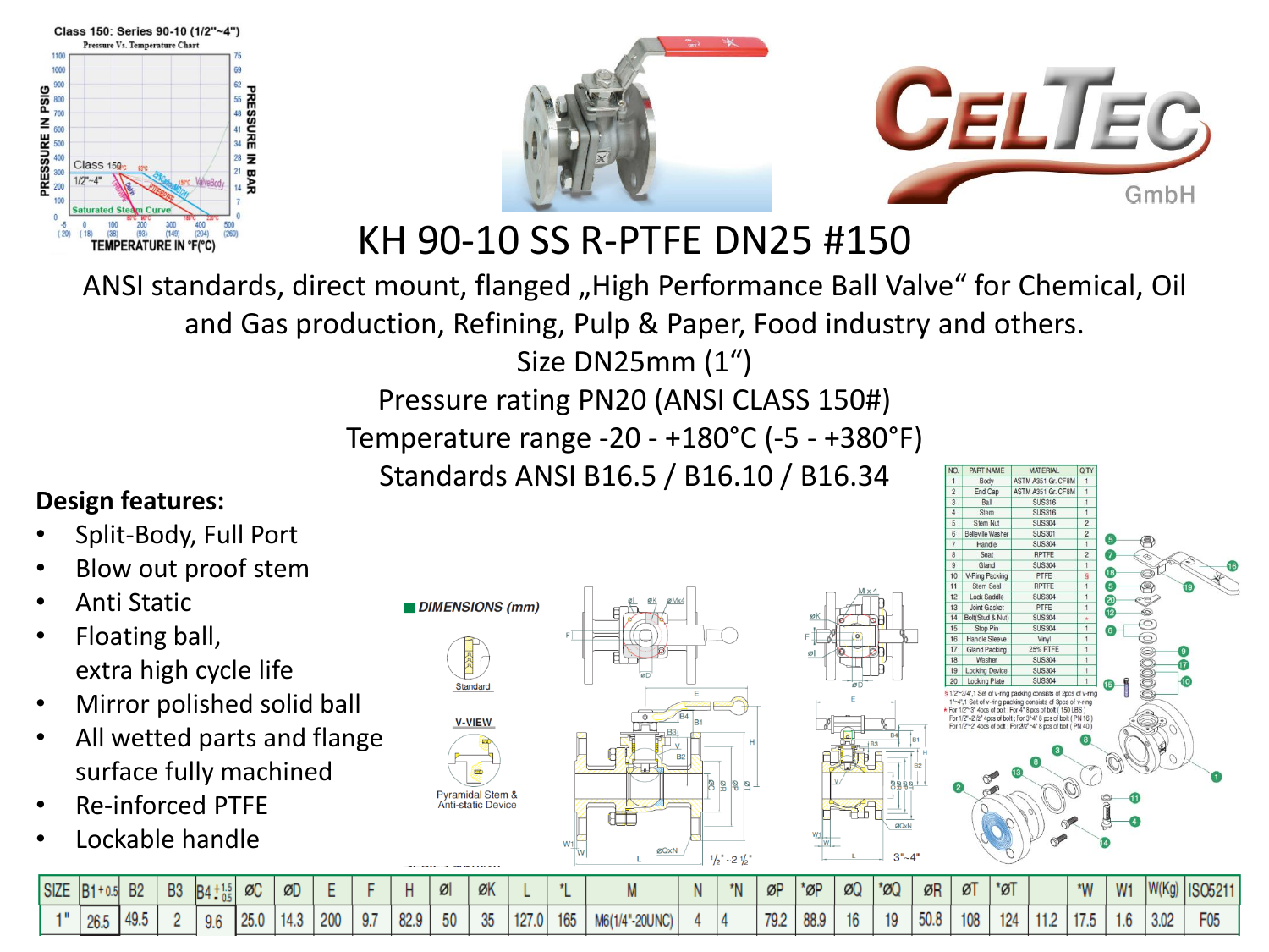



KH 90-10 SS R-PTFE DN25 #150

ANSI standards, direct mount, flanged "High Performance Ball Valve" for Chemical, Oil and Gas production, Refining, Pulp & Paper, Food industry and others. Size DN25mm (1")

Pressure rating PN20 (ANSI CLASS 150#)

Temperature range -20 - +180°C (-5 - +380°F)

Standards ANSI B16.5 / B16.10 / B16.34

#### **Design features:**

- Split-Body, Full Port
- Blow out proof stem
- Anti Static
- Floating ball, extra high cycle life
- Mirror polished solid ball
- All wetted parts and flange surface fully machined
- Re-inforced PTFE
- Lockable handle





**MATFRIAL** 

| SIZE B1+0.5 | <b>B2</b> | <b>B3</b> | $B4 \div 1.5$ | ØC   | ØD   |     |     |      | Øl | ØK       |       |     |                | $^{\star}$ N | ØP   | $"$ ØP | ØQ | $*_{\emptyset}$ | ØR   | øT  | *øT |             | $W^*$                | W <sub>1</sub> | W(Kg) | <b>ISO521</b>   |
|-------------|-----------|-----------|---------------|------|------|-----|-----|------|----|----------|-------|-----|----------------|--------------|------|--------|----|-----------------|------|-----|-----|-------------|----------------------|----------------|-------|-----------------|
| 26.         | 49.5      |           | 9.6           | 25.0 | 14.3 | 200 | 9.7 | 82.9 | 50 | 25<br>ಀಀ | 127.0 | 165 | M6(1/4"-20UNC) |              | 79.2 |        | 16 | 19              | 50.8 | 108 | 124 | 110<br>1 .Z | 10 AM FO<br>$\cdots$ | 1.0            | 3.02  | F <sub>05</sub> |

 $-21h'$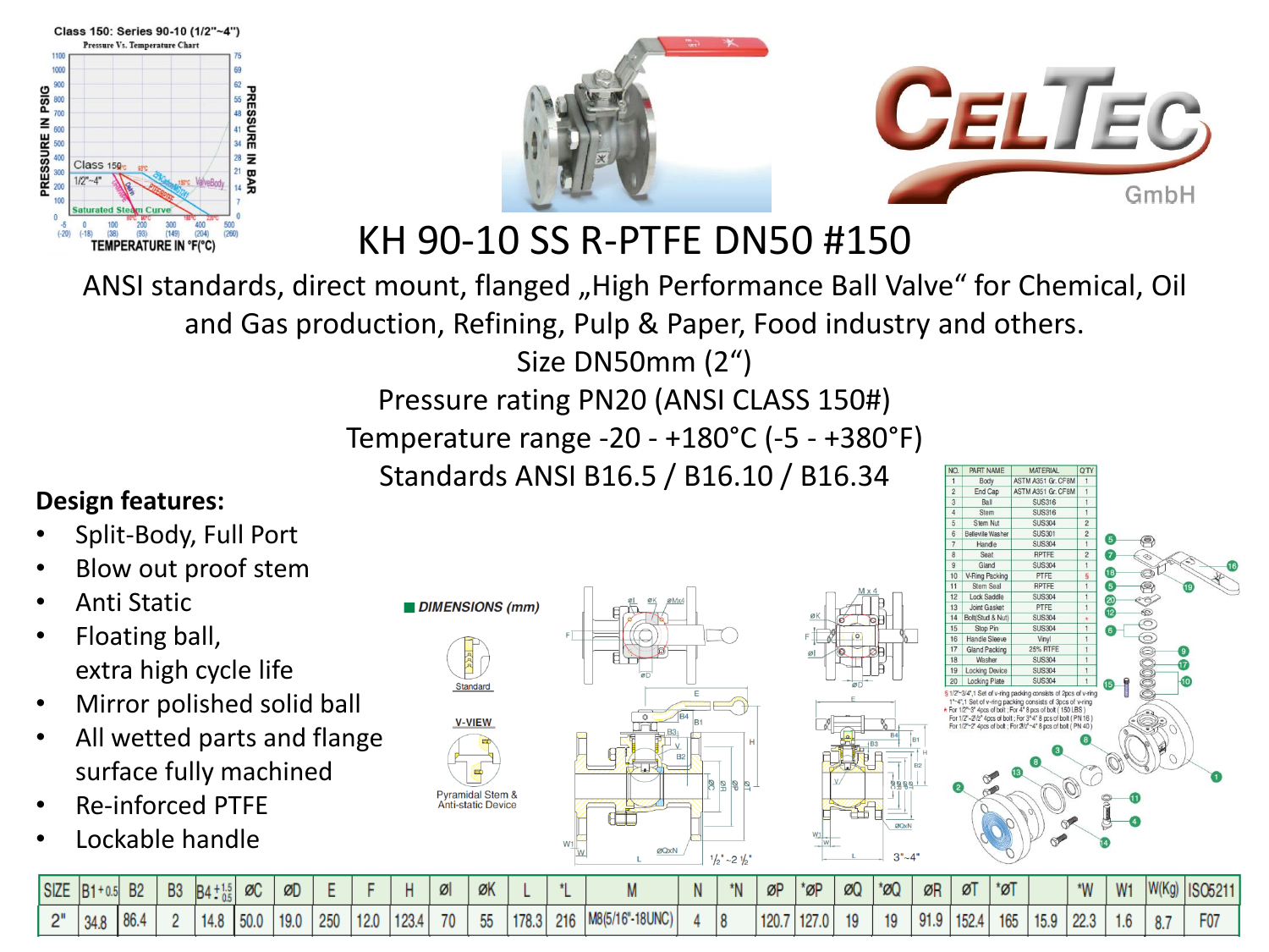



ØQxN

KH 90-10 SS R-PTFE DN50 #150

ANSI standards, direct mount, flanged "High Performance Ball Valve" for Chemical, Oil and Gas production, Refining, Pulp & Paper, Food industry and others. Size DN50mm (2")

Pressure rating PN20 (ANSI CLASS 150#)

Temperature range -20 - +180°C (-5 - +380°F)

Standards ANSI B16.5 / B16.10 / B16.34

#### **Design features:**

- Split-Body, Full Port
- Blow out proof stem
- Anti Static
- Floating ball, extra high cycle life
- Mirror polished solid ball
- All wetted parts and flange surface fully machined
- Re-inforced PTFE
- Lockable handle





| <b>SIZE</b> | $ B1+$ | <b>B2</b> | <b>B3</b> | $BA_{0.5}^{+}$ | ØC    | ØD   |     |      |       | Ø  | ØK          |       |     |                 | *N | ØP    | *øP       | ØQ | $*$ ø0 | ØR   | ØT    | *øT |      | $W^*$                  | MAH<br>VV 1 | <b><i>MILLER</i></b><br>IW(N <sub>3</sub> ) | <b>ISO521</b> |
|-------------|--------|-----------|-----------|----------------|-------|------|-----|------|-------|----|-------------|-------|-----|-----------------|----|-------|-----------|----|--------|------|-------|-----|------|------------------------|-------------|---------------------------------------------|---------------|
| יים         | 34.8   |           |           | 14.8           | 150.0 | 19.0 | 250 | 12.0 | 123.4 | 70 | $- -$<br>ჂჂ | 178.3 | 216 | M8(5/16"-18UNC) |    | 120.7 | 407<br> L |    | 19     | 91.9 | 152.4 | 165 | 15.9 | 0 <sup>n</sup><br>Z2.3 | I.D         | $\circ$<br>о.                               | F07           |

ØQxN

 $-21h'$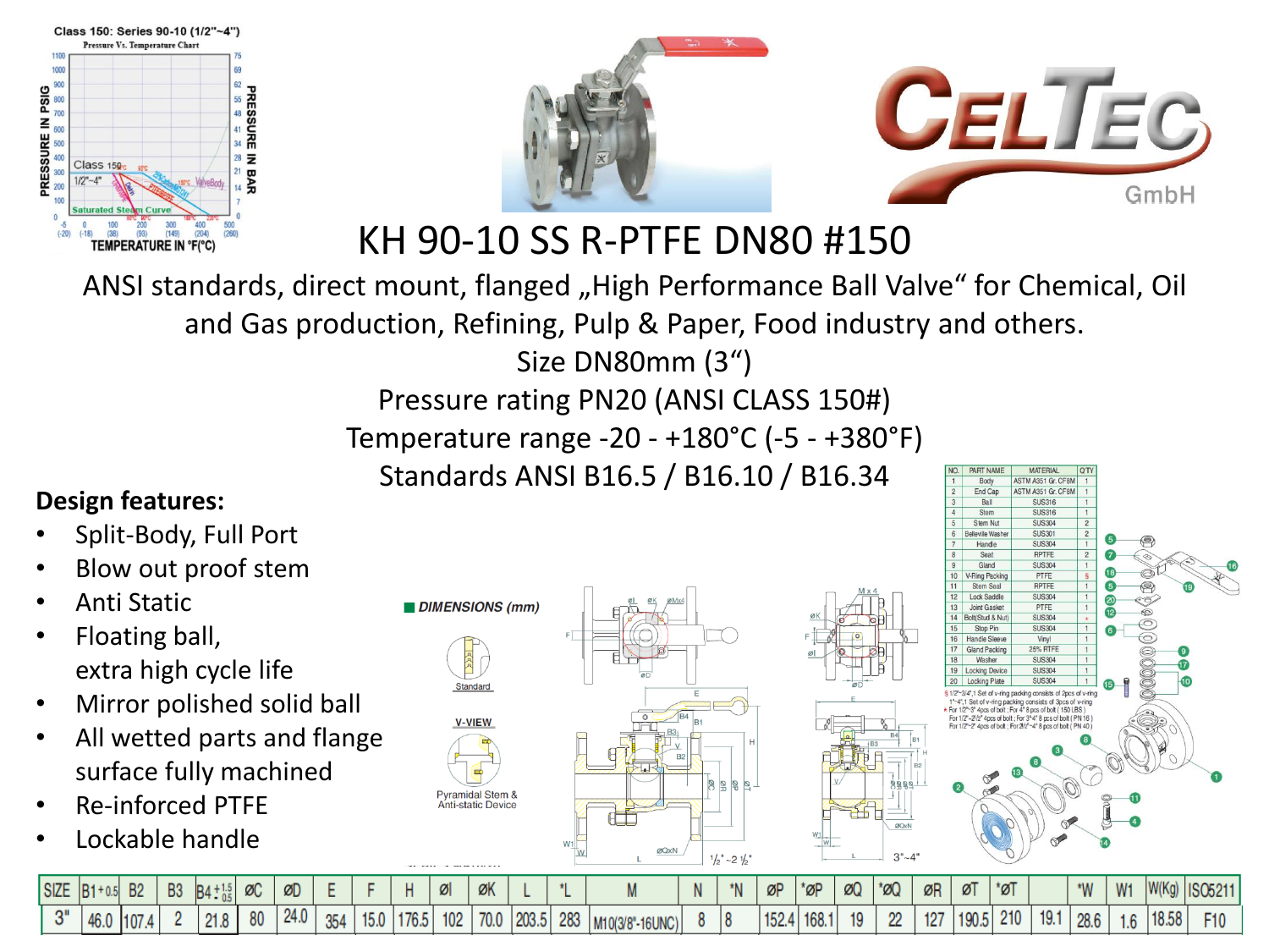



ØQxN

KH 90-10 SS R-PTFE DN80 #150

ANSI standards, direct mount, flanged "High Performance Ball Valve" for Chemical, Oil and Gas production, Refining, Pulp & Paper, Food industry and others. Size DN80mm (3")

Pressure rating PN20 (ANSI CLASS 150#)

Temperature range -20 - +180°C (-5 - +380°F)

Standards ANSI B16.5 / B16.10 / B16.34

#### **Design features:**

- Split-Body, Full Port
- Blow out proof stem
- Anti Static
- Floating ball, extra high cycle life
- Mirror polished solid ball
- All wetted parts and flange surface fully machined
- Re-inforced PTFE
- Lockable handle





| <b>SIZE</b> | $B1 + 0.5$ | <b>B2</b> | <b>B3</b> |      | Ø  | ØD   |    |      |      | x   | ØK   |       |     |                          |  | $\alpha$ D | 'ØF | ØQ           | *ØG     | ØR  | ØĪ  | *ØT |      | $\star$ <b>MAI</b> | W <sub>1</sub> | W(Ka) | <b>ISO521</b>   |
|-------------|------------|-----------|-----------|------|----|------|----|------|------|-----|------|-------|-----|--------------------------|--|------------|-----|--------------|---------|-----|-----|-----|------|--------------------|----------------|-------|-----------------|
| ∩⊪          | AC<br>40.U |           |           | 21.8 | 80 | 24.0 | 25 | 15.0 | 176. | 102 | 70.0 | 203.5 | 283 | $"$ -16UNC).<br>M10(3/8) |  |            |     | $10^{\circ}$ | ഹ<br>-- | 127 | 100 | 210 | 19.1 | 28.6               | 1.0            | 18.58 | F <sub>10</sub> |

ØQxN

 $-21h'$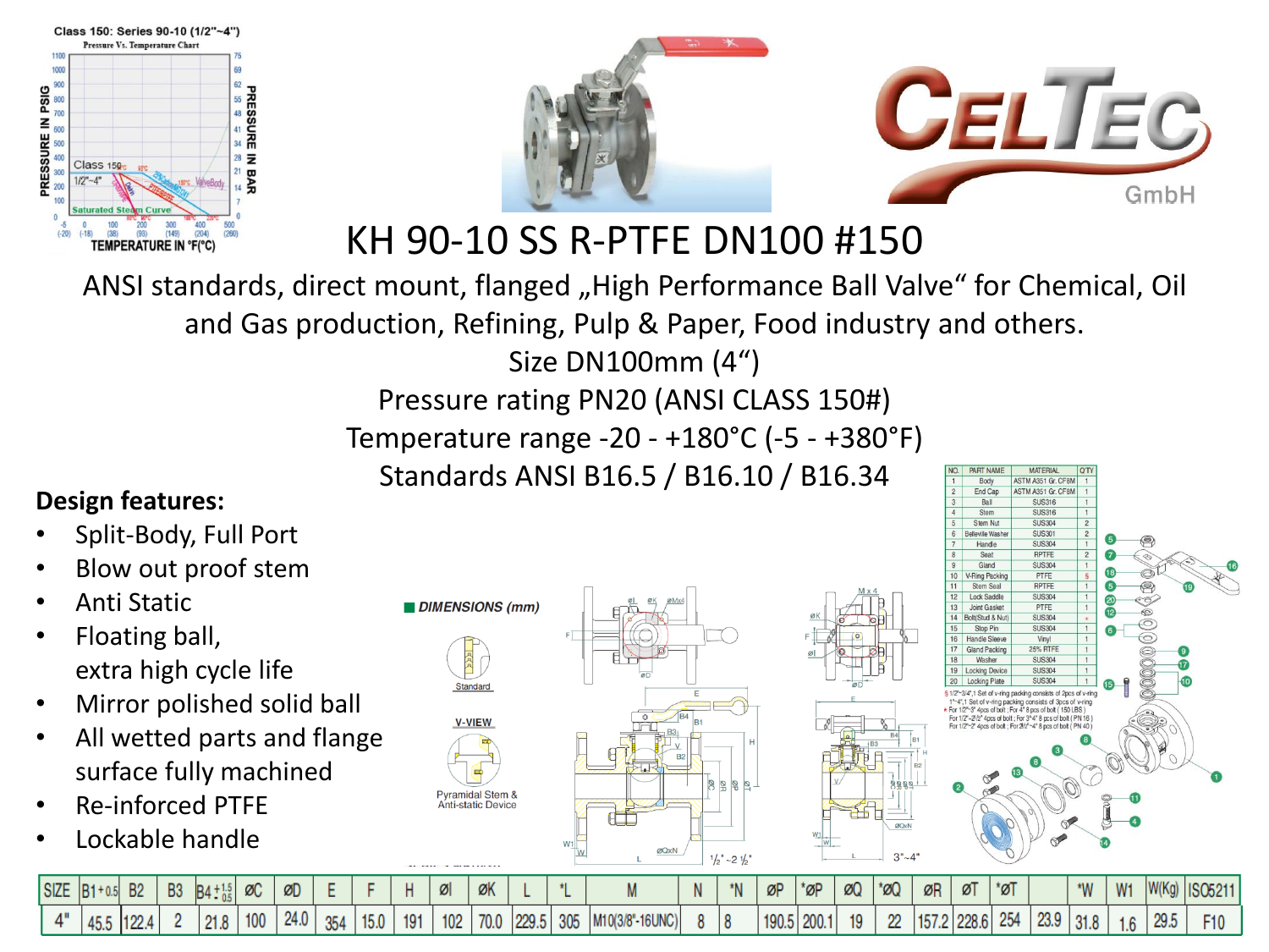



KH 90-10 SS R-PTFE DN100 #150

ANSI standards, direct mount, flanged "High Performance Ball Valve" for Chemical, Oil and Gas production, Refining, Pulp & Paper, Food industry and others. Size DN100mm (4")

Pressure rating PN20 (ANSI CLASS 150#)

Temperature range -20 - +180°C (-5 - +380°F)

Standards ANSI B16.5 / B16.10 / B16.34

### **Design features:**

- Split-Body, Full Port
- Blow out proof stem
- Anti Static
- Floating ball, extra high cycle life
- Mirror polished solid ball
- All wetted parts and flange surface fully machined
- Re-inforced PTFE
- Lockable handle

DIMENSIONS (mm) vramidal Stem & **Anti-static Device** 



ØQxN

 $3"~4"$ 



| $SIZE$ $B1 + 0.5$ | <b>B2</b> | <b>B3</b> | $BA + 1.5$ | ØC  | ØD   |     |      |     |     | $\alpha$<br>ØN |       |     |                       |  | ØP              | *ØF | ØQ              | $\mathcal{O}(\mathcal{A})$ | ØR            | ØĪ | $\mathbb{Z}^*$ |      | $*IMI$ | W <sub>1</sub> | W(Kg) | <b>ISO521</b> |
|-------------------|-----------|-----------|------------|-----|------|-----|------|-----|-----|----------------|-------|-----|-----------------------|--|-----------------|-----|-----------------|----------------------------|---------------|----|----------------|------|--------|----------------|-------|---------------|
| 45.5              |           |           | 21.8       | 100 | 24.0 | 354 | 15.0 | 191 | 102 | 70.0           | 229.5 | 305 | $ M10(3/8" - 16UNC) $ |  | 10 <sub>0</sub> |     | 10 <sup>1</sup> | --                         | $157.2$ 228.6 |    | 254            | 23.9 | . 01.0 | 1.6            | 29.5  | F10           |

ØQxN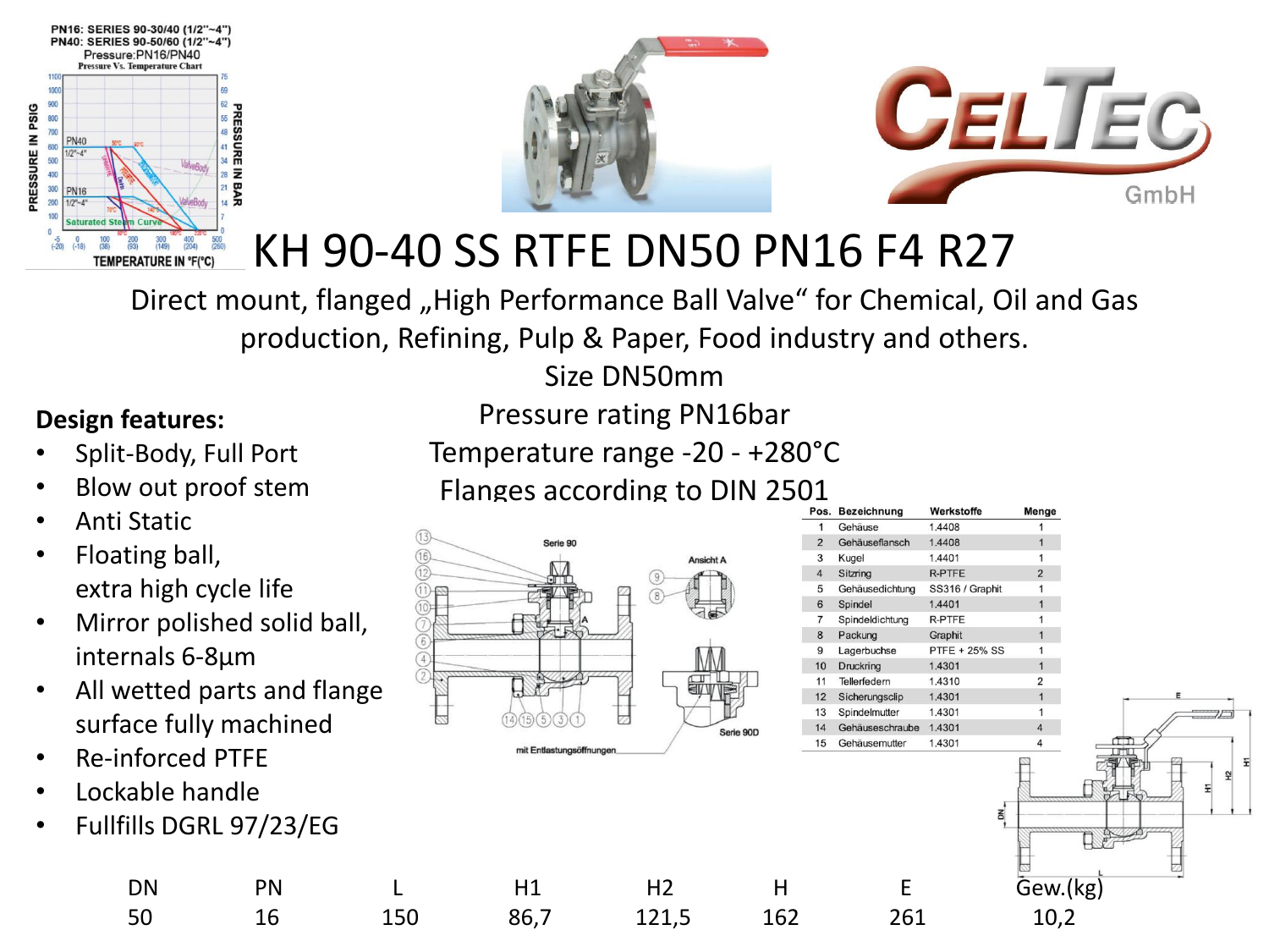



# KH 90-40 SS RTFE DN50 PN16 F4 R27

Direct mount, flanged "High Performance Ball Valve" for Chemical, Oil and Gas production, Refining, Pulp & Paper, Food industry and others.

Size DN50mm

### **Design features:**

- Split-Body, Full Port
- Blow out proof stem
- Anti Static
- Floating ball, extra high cycle life
- Mirror polished solid ball, internals 6-8µm
- All wetted parts and flange surface fully machined
- Re-inforced PTFE
- Lockable handle
- Fullfills DGRL 97/23/EG

Temperature range -20 - +280°C Flanges according to DIN 2501



|                     |                         |                          |                |                 | Pos. Bezeichnung         | Werkstoffe              | Menge          |  |
|---------------------|-------------------------|--------------------------|----------------|-----------------|--------------------------|-------------------------|----------------|--|
| <b>Static</b>       |                         |                          |                |                 | Gehäuse                  | 1.4408                  |                |  |
|                     |                         | Serie 90                 |                |                 | Gehäuseflansch           | 1.4408                  |                |  |
| ting ball,          |                         |                          | Ansicht A      |                 | Kugel                    | 1.4401                  |                |  |
|                     |                         |                          |                |                 | Sitzring                 | <b>R-PTFE</b>           | $\overline{2}$ |  |
|                     | a high cycle life       |                          |                |                 | Gehäusedichtung          | SS316 / Graphit         |                |  |
|                     |                         |                          |                |                 | Spindel                  | 1.4401                  |                |  |
|                     | or polished solid ball, |                          |                |                 | Spindeldichtung          | R-PTFE                  |                |  |
|                     |                         |                          |                |                 | Packung                  | Graphit                 |                |  |
| nals 6-8µm          |                         |                          |                | 10 <sup>1</sup> | Lagerbuchse<br>Druckring | PTFE + 25% SS<br>1.4301 |                |  |
|                     |                         |                          |                |                 | Tellerfedern             | 1.4310                  | 2              |  |
|                     | etted parts and flange  |                          |                | 12 <sup>2</sup> | Sicherungsclip           | 1.4301                  |                |  |
|                     |                         |                          |                |                 | Spindelmutter            | 1.4301                  |                |  |
|                     | ce fully machined       |                          | Serie 90D      |                 | Gehäuseschraube          | 1.4301                  |                |  |
|                     |                         | mit Entlastungsöffnungen |                |                 | 15 Gehäusemutter         | 1.4301                  |                |  |
| <b>nforced PTFE</b> |                         |                          |                |                 |                          |                         |                |  |
|                     |                         |                          |                |                 |                          |                         |                |  |
| able handle         |                         |                          |                |                 |                          |                         |                |  |
|                     |                         |                          |                |                 |                          |                         |                |  |
|                     | ills DGRL 97/23/EG      |                          |                |                 |                          |                         |                |  |
|                     |                         |                          |                |                 |                          |                         |                |  |
|                     |                         |                          |                |                 |                          |                         |                |  |
| DN                  | PN                      | H1                       | H <sub>2</sub> | Н               |                          |                         | Gew.(kg)       |  |
|                     |                         |                          |                |                 |                          |                         |                |  |

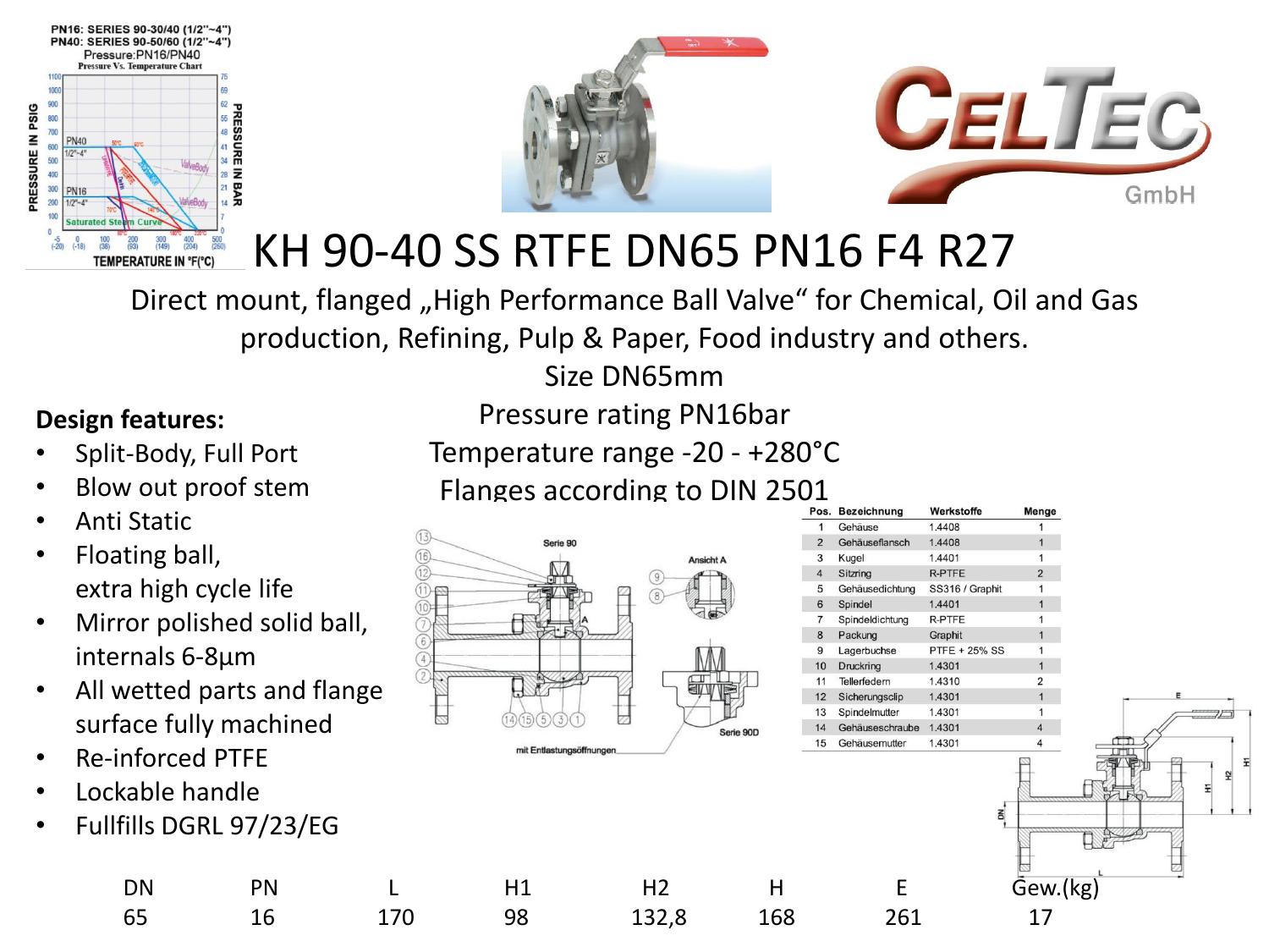



# KH 90-40 SS RTFE DN65 PN16 F4 R27

Direct mount, flanged "High Performance Ball Valve" for Chemical, Oil and Gas production, Refining, Pulp & Paper, Food industry and others.

Size DN65mm

### **Design features:**

- Split-Body, Full Port
- Blow out proof stem
- Anti Static
- Floating ball, extra high cycle life
- Mirror polished solid ball, internals 6-8µm
- All wetted parts and flange surface fully machined
- Re-inforced PTFE
- Lockable handle
- Fullfills DGRL 97/23/EG

Temperature range -20 - +280°C Flanges according to DIN 2501



| Pos.           | <b>Bezeichnung</b> | Werkstoffe      | Menge          |
|----------------|--------------------|-----------------|----------------|
| 1              | Gehäuse            | 1.4408          | 1              |
| $\overline{2}$ | Gehäuseflansch     | 1.4408          | 1              |
| 3              | Kugel              | 1.4401          | 1              |
| $\overline{4}$ | Sitzring           | <b>R-PTFE</b>   | $\overline{2}$ |
| 5              | Gehäusedichtung    | SS316 / Graphit | 1              |
| 6              | Spindel            | 1.4401          | 1              |
| 7              | Spindeldichtung    | R-PTFE          | 1              |
| 8              | Packung            | Graphit         | 1              |
| 9              | Lagerbuchse        | PTFE + 25% SS   | 1              |
| 10             | Druckring          | 1.4301          | 1              |
| 11             | Tellerfedern       | 1.4310          | 2              |
| 12             | Sicherungsclip     | 1.4301          | $\overline{1}$ |
| 13             | Spindelmutter      | 1.4301          | 1              |
| 14             | Gehäuseschraube    | 1.4301          | $\overline{4}$ |
| 15             | Gehäusemutter      | 1.4301          | 4              |
|                |                    | š               |                |

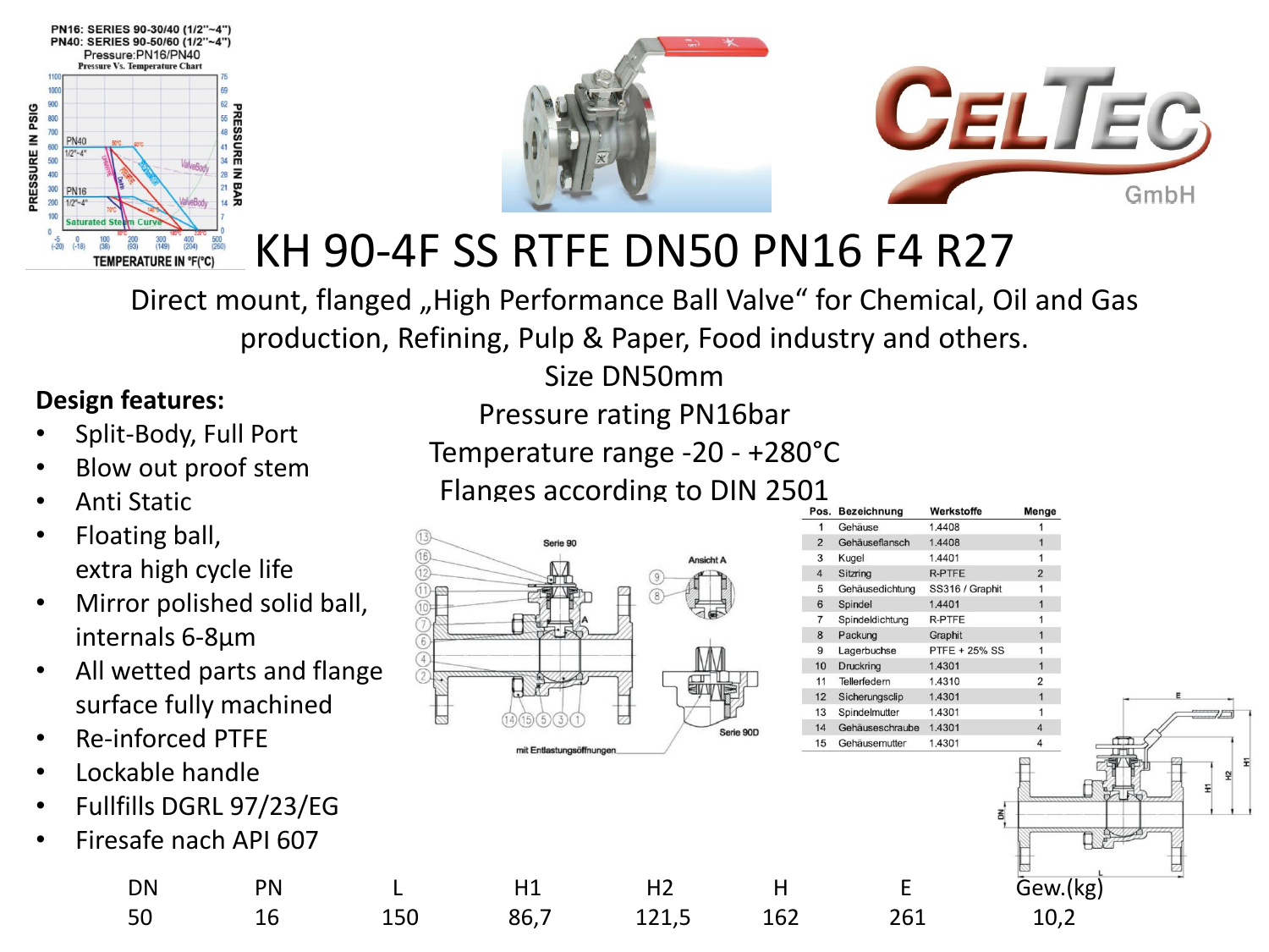



# KH 90-4F SS RTFE DN50 PN16 F4 R27

Direct mount, flanged "High Performance Ball Valve" for Chemical, Oil and Gas production, Refining, Pulp & Paper, Food industry and others.

### **Design features:**

- Split-Body, Full Port
- Blow out proof stem
- Anti Static
- Floating ball, extra high cycle life
- Mirror polished solid ball, internals 6-8µm
- All wetted parts and flange surface fully machined
- Re-inforced PTFE
- Lockable handle
- Fullfills DGRL 97/23/EG
- Firesafe nach API 607

Pressure rating PN16bar

Size DN50mm

- Temperature range -20 +280°C
- Flanges according to DIN 2501



50 16 150 86,7 121,5 162 261 10,2

|                     |                         |                          |                |    | Pos. Bezeichnung           | Werkstoffe                | Menge          |  |
|---------------------|-------------------------|--------------------------|----------------|----|----------------------------|---------------------------|----------------|--|
| ting ball,          |                         |                          |                |    | Gehäuse                    | 1.4408                    |                |  |
|                     |                         | Serie 90                 |                |    | Gehäuseflansch             | 1.4408                    |                |  |
| i high cycle life   |                         |                          | Ansicht A      |    | Kugel                      | 1.4401                    |                |  |
|                     |                         |                          |                |    | Sitzring                   | R-PTFE                    | $\overline{2}$ |  |
|                     | or polished solid ball, |                          |                | 6  | Gehäusedichtung<br>Spindel | SS316 / Graphit<br>1.4401 |                |  |
|                     |                         |                          |                |    | Spindeldichtung            | R-PTFE                    |                |  |
| nals 6-8µm          |                         |                          |                |    | Packung                    | Graphit                   |                |  |
|                     |                         |                          |                |    | Lagerbuchse                | PTFE + 25% SS             |                |  |
|                     | etted parts and flange  |                          |                |    | Druckring                  | 1.4301                    |                |  |
|                     |                         |                          |                |    | Tellerfedern               | 1.4310                    |                |  |
| ice fully machined  |                         |                          |                |    | Sicherungsclip             | 1.4301                    |                |  |
|                     |                         |                          |                |    | Spindelmutter              | 1.4301                    |                |  |
| <b>nforced PTFE</b> |                         |                          | Serie 90D      |    | Gehäuseschraube            | 1.4301<br>1.4301          |                |  |
|                     |                         | mit Entlastungsöffnungen |                | 15 | Gehäusemutter              |                           |                |  |
| able handle         |                         |                          |                |    |                            |                           |                |  |
|                     |                         |                          |                |    |                            |                           |                |  |
| ills DGRL 97/23/EG  |                         |                          |                |    |                            |                           |                |  |
|                     |                         |                          |                |    |                            |                           |                |  |
| afe nach API 607    |                         |                          |                |    |                            |                           |                |  |
|                     |                         |                          |                |    |                            |                           |                |  |
|                     |                         |                          |                |    |                            |                           |                |  |
| DN                  | <b>PN</b>               | H1                       | H <sub>2</sub> | Н  |                            |                           | Gew.(kg)       |  |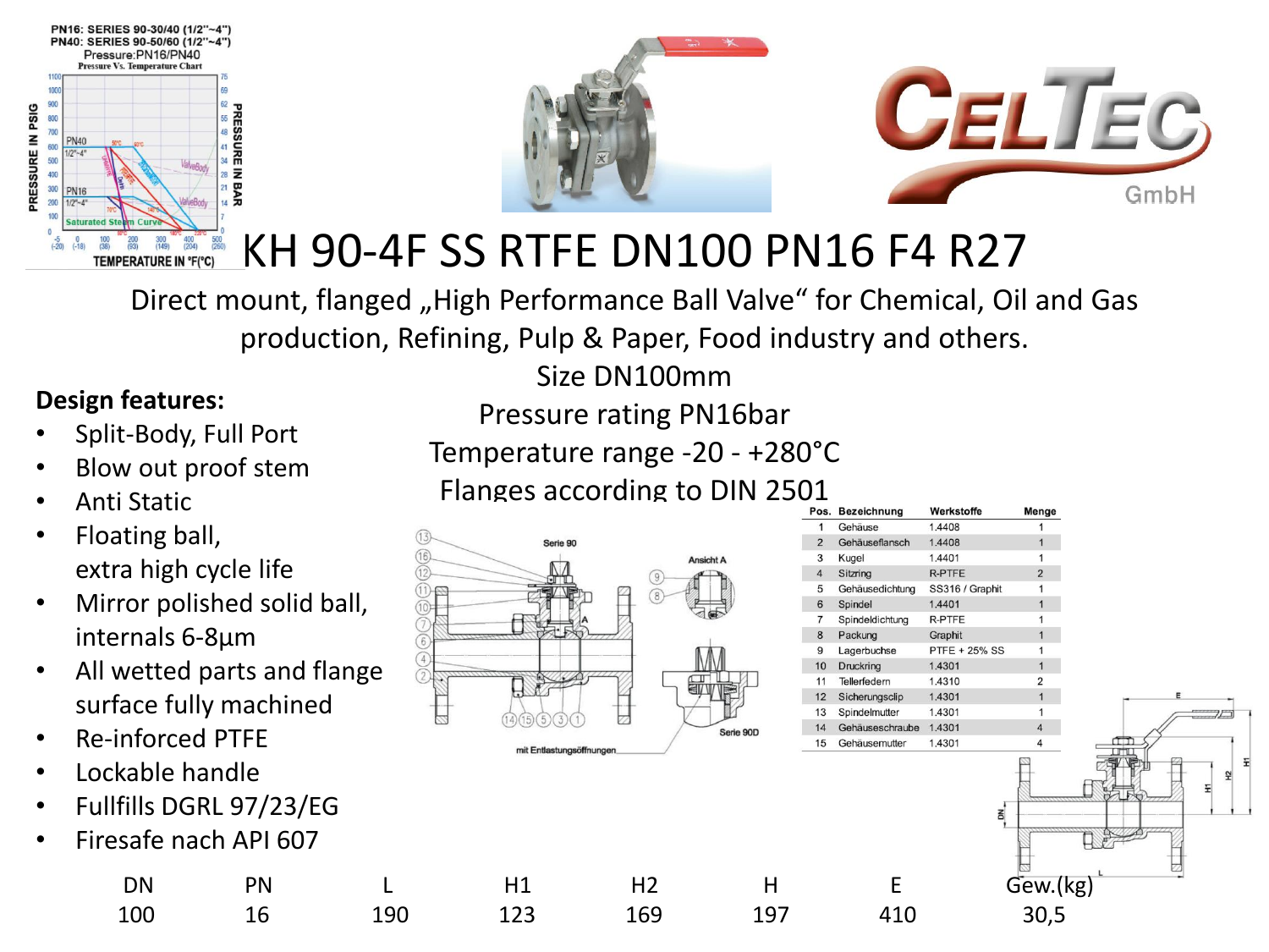



# KH 90-4F SS RTFE DN100 PN16 F4 R27

Direct mount, flanged "High Performance Ball Valve" for Chemical, Oil and Gas production, Refining, Pulp & Paper, Food industry and others.

#### **Design features:**

- Split-Body, Full Port
- Blow out proof stem
- Anti Static
- Floating ball, extra high cycle life
- Mirror polished solid ball, internals 6-8µm
- All wetted parts and flange surface fully machined
- Re-inforced PTFE
- Lockable handle
- Fullfills DGRL 97/23/EG
- Firesafe nach API 607

| Pressure rating PN16bar |       |  |
|-------------------------|-------|--|
|                         | -- -- |  |

Size DN100mm

- Temperature range -20 +280°C
	- Flanges according to DIN 2501





100 16 190 123 169 197 410 30,5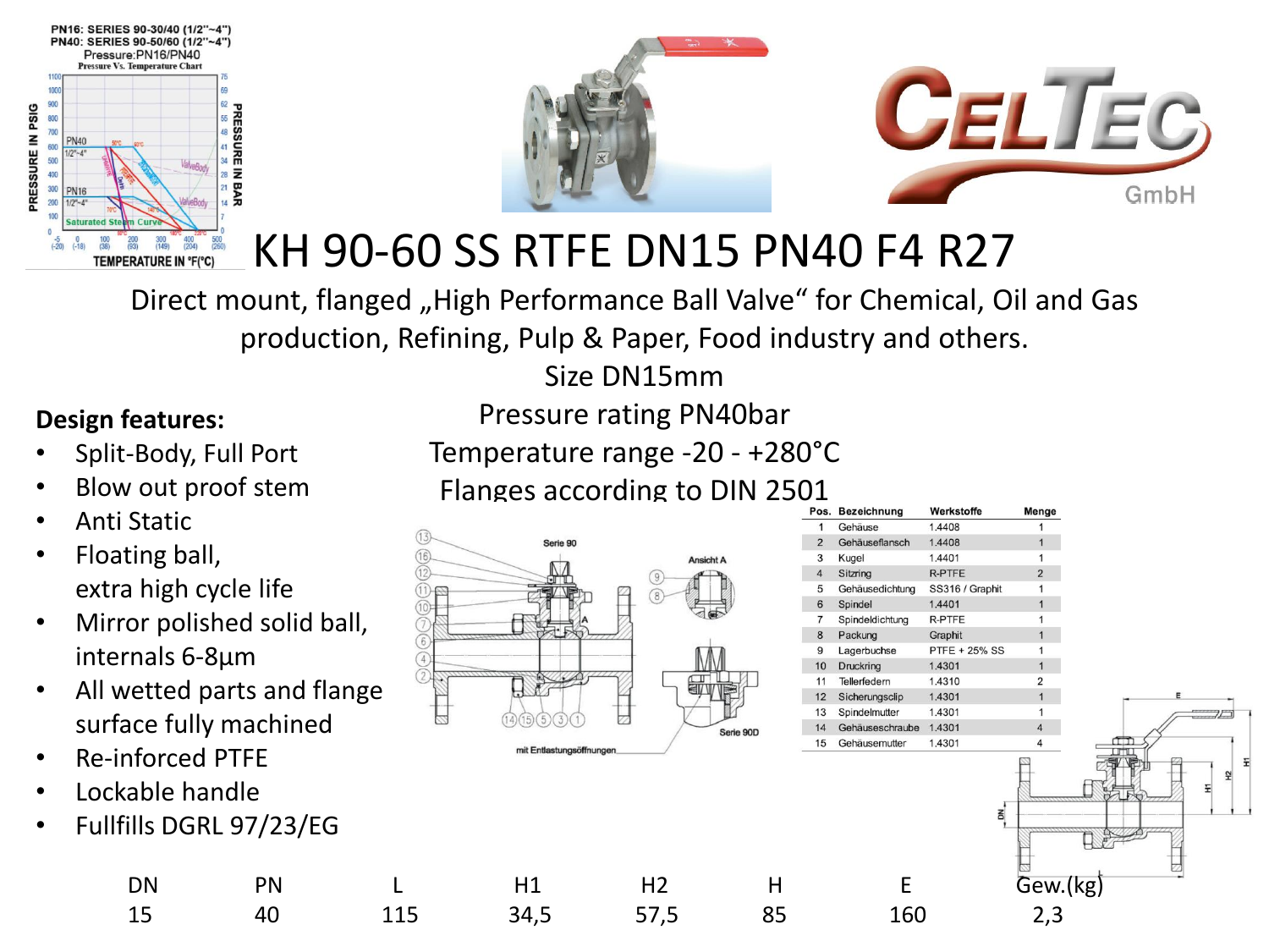



# KH 90-60 SS RTFE DN15 PN40 F4 R27

Direct mount, flanged "High Performance Ball Valve" for Chemical, Oil and Gas production, Refining, Pulp & Paper, Food industry and others.

### Size DN15mm

### **Design features:**

- Split-Body, Full Port
- Blow out proof stem
- Anti Static
- Floating ball, extra high cycle life
- Mirror polished solid ball, internals 6-8µm
- All wetted parts and flange surface fully machined
- Re-inforced PTFE
- Lockable handle
- Fullfills DGRL 97/23/EG

Temperature range -20 - +280°C Flanges according to DIN 2501



|                     |                         |                          |                |   | Pos. Bezeichnung | Werkstoffe           | Menge                   |  |
|---------------------|-------------------------|--------------------------|----------------|---|------------------|----------------------|-------------------------|--|
| <b>Static</b>       |                         |                          |                |   | Gehäuse          | 1.4408               |                         |  |
|                     |                         | Serie 90                 |                |   | Gehäuseflansch   | 1.4408               |                         |  |
| ting ball,          |                         |                          | Ansicht A      |   | Kugel            | 1.4401               |                         |  |
|                     |                         |                          |                |   | Sitzring         | R-PTFE               | $\overline{2}$          |  |
|                     | a high cycle life       |                          |                |   | Gehäusedichtung  | SS316 / Graphit      |                         |  |
|                     |                         |                          |                |   | Spindel          | 1.4401               |                         |  |
|                     | or polished solid ball, |                          |                |   | Spindeldichtung  | R-PTFE               |                         |  |
|                     |                         |                          |                |   | Packung          | Graphit              |                         |  |
| nals 6-8µm          |                         |                          |                |   | Lagerbuchse      | <b>PTFE + 25% SS</b> |                         |  |
|                     |                         |                          |                |   | Druckring        | 1.4301               |                         |  |
|                     | etted parts and flange  |                          |                |   | Tellerfedern     | 1.4310               |                         |  |
|                     |                         |                          |                |   | Sicherungsclip   | 1.4301               |                         |  |
|                     | ice fully machined      |                          |                |   | Spindelmutter    | 1.4301               |                         |  |
|                     |                         |                          | Serie 90D      |   | Gehäuseschraube  | 1.4301               | $\overline{\mathbf{4}}$ |  |
|                     |                         | mit Entlastungsöffnungen |                |   | Gehäusemutter    | 1.4301               |                         |  |
| <b>nforced PTFE</b> |                         |                          |                |   |                  |                      |                         |  |
|                     |                         |                          |                |   |                  |                      |                         |  |
| able handle         |                         |                          |                |   |                  |                      |                         |  |
|                     |                         |                          |                |   |                  |                      |                         |  |
|                     | ills DGRL 97/23/EG      |                          |                |   |                  |                      |                         |  |
|                     |                         |                          |                |   |                  |                      |                         |  |
|                     |                         |                          |                |   |                  |                      |                         |  |
| DN                  |                         |                          |                |   |                  |                      |                         |  |
|                     | <b>PN</b>               | Η1                       | H <sub>2</sub> | н |                  |                      | Gew.(kg)                |  |

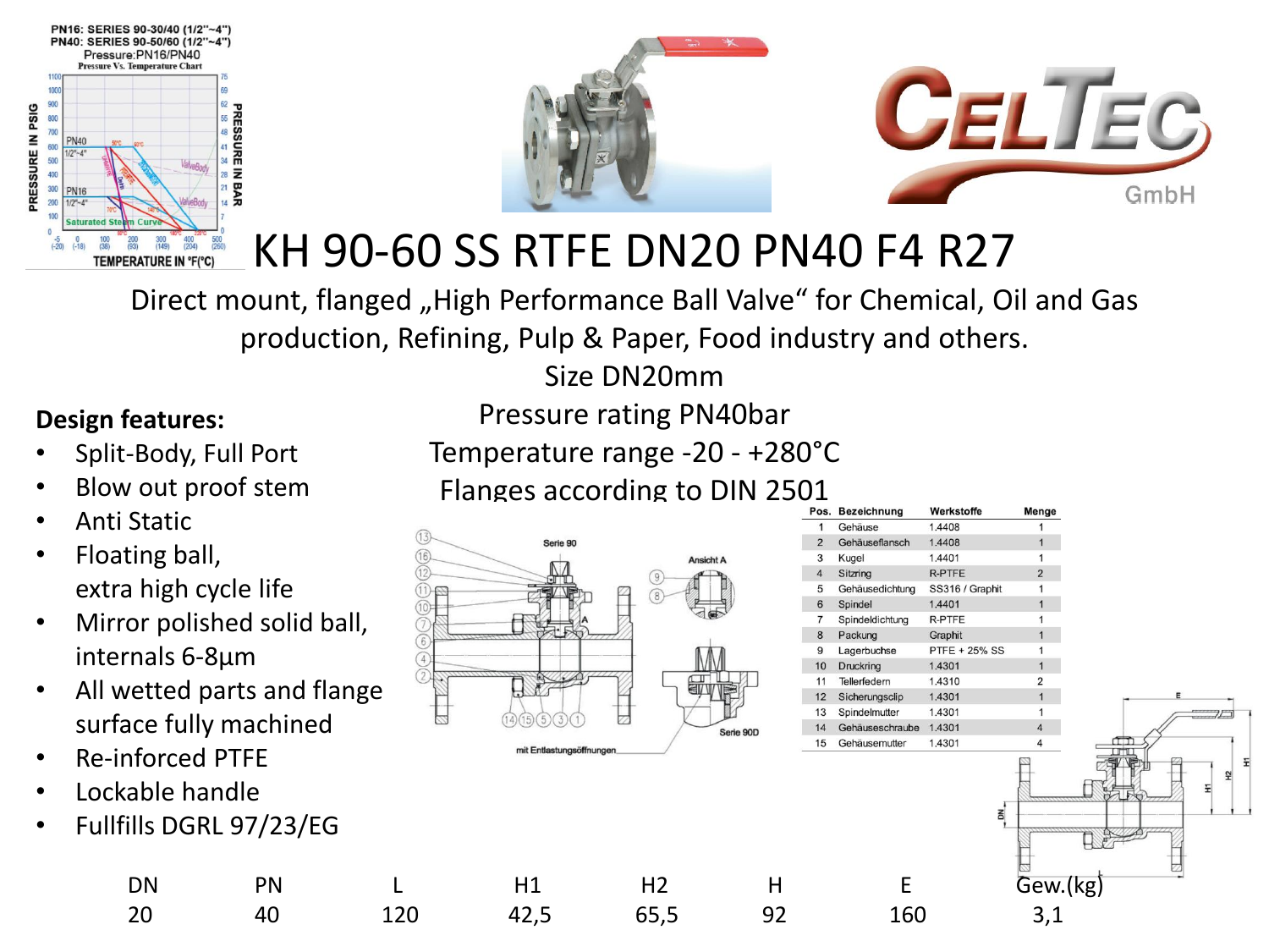



# KH 90-60 SS RTFE DN20 PN40 F4 R27

Direct mount, flanged "High Performance Ball Valve" for Chemical, Oil and Gas production, Refining, Pulp & Paper, Food industry and others.

### Size DN20mm

### **Design features:**

- Split-Body, Full Port
- Blow out proof stem
- Anti Static
- Floating ball, extra high cycle life
- Mirror polished solid ball, internals 6-8µm
- All wetted parts and flange surface fully machined
- Re-inforced PTFE
- Lockable handle
- Fullfills DGRL 97/23/EG

Temperature range -20 - +280°C Flanges according to DIN 2501



| Pos.           | <b>Bezeichnung</b> | Werkstoffe           | Menge          |
|----------------|--------------------|----------------------|----------------|
| 1              | Gehäuse            | 1.4408               | 1              |
| $\overline{2}$ | Gehäuseflansch     | 1.4408               | $\overline{1}$ |
| 3              | Kugel              | 1.4401               | 1              |
| $\overline{4}$ | Sitzring           | <b>R-PTFE</b>        | $\overline{2}$ |
| 5              | Gehäusedichtung    | SS316 / Graphit      |                |
| 6              | Spindel            | 1.4401               | 1              |
| $\overline{7}$ | Spindeldichtung    | <b>R-PTFE</b>        |                |
| 8              | Packung            | Graphit              | 1              |
| 9              | Lagerbuchse        | <b>PTFE + 25% SS</b> | 1              |
| 10             | Druckring          | 1.4301               | 1              |
| 11             | Tellerfedern       | 1.4310               | 2              |
| 12             | Sicherungsclip     | 1.4301               | 1              |
| 13             | Spindelmutter      | 1.4301               | 1              |
| 14             | Gehäuseschraube    | 1.4301               | $\overline{4}$ |
| 15             | Gehäusemutter      | 1.4301               | 4              |
|                |                    |                      |                |
|                |                    | š                    |                |

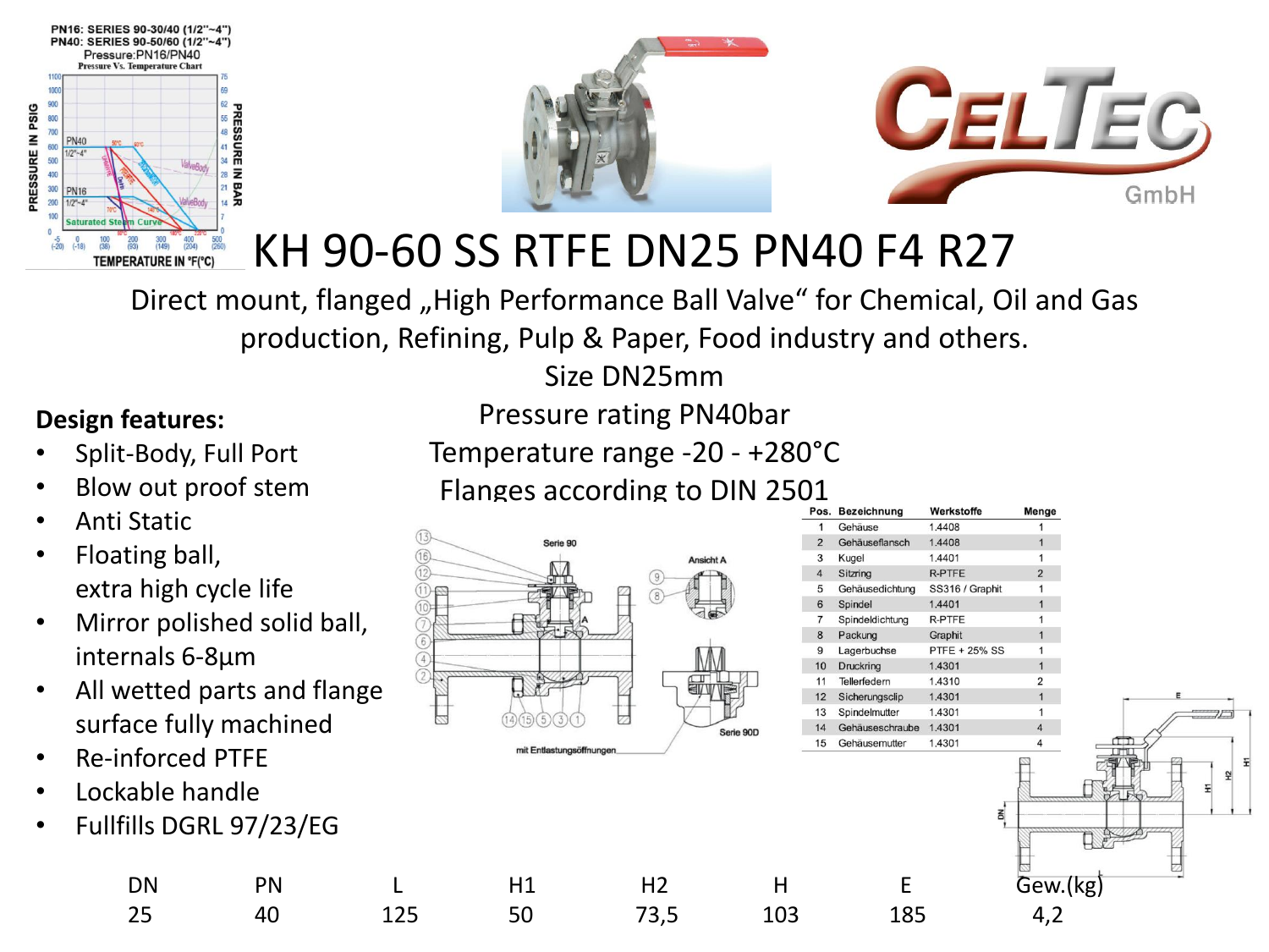



# KH 90-60 SS RTFE DN25 PN40 F4 R27

Direct mount, flanged "High Performance Ball Valve" for Chemical, Oil and Gas production, Refining, Pulp & Paper, Food industry and others.

### Size DN25mm

#### **Design features:**

- Split-Body, Full Port
- Blow out proof stem
- Anti Static
- Floating ball, extra high cycle life
- Mirror polished solid ball, internals 6-8µm
- All wetted parts and flange surface fully machined
- Re-inforced PTFE
- Lockable handle
- Fullfills DGRL 97/23/EG

Temperature range -20 - +280°C Flanges according to DIN 2501



| 1<br>Gehäuse<br>1.4408<br>Gehäuseflansch<br>1.4408<br>$\overline{2}$<br>1.4401<br>3<br>Kugel<br>4<br><b>R-PTFE</b><br>Sitzring<br>5<br>SS316 / Graphit<br>Gehäusedichtung<br>1.4401<br>6<br>Spindel<br><b>R-PTFE</b><br>$\overline{7}$<br>Spindeldichtung<br>8<br>Packung<br>Graphit<br><b>PTFE + 25% SS</b><br>9<br>Lagerbuchse<br>10<br>1.4301<br>Druckring<br>11<br>Tellerfedern<br>1.4310<br>1.4301<br>12<br>Sicherungsclip<br>1.4301<br>13<br>Spindelmutter | Menge          |
|------------------------------------------------------------------------------------------------------------------------------------------------------------------------------------------------------------------------------------------------------------------------------------------------------------------------------------------------------------------------------------------------------------------------------------------------------------------|----------------|
|                                                                                                                                                                                                                                                                                                                                                                                                                                                                  | 1              |
|                                                                                                                                                                                                                                                                                                                                                                                                                                                                  | 1              |
|                                                                                                                                                                                                                                                                                                                                                                                                                                                                  | 1              |
|                                                                                                                                                                                                                                                                                                                                                                                                                                                                  | $\overline{2}$ |
|                                                                                                                                                                                                                                                                                                                                                                                                                                                                  | 1              |
|                                                                                                                                                                                                                                                                                                                                                                                                                                                                  | 1              |
|                                                                                                                                                                                                                                                                                                                                                                                                                                                                  | 1              |
|                                                                                                                                                                                                                                                                                                                                                                                                                                                                  | 1              |
|                                                                                                                                                                                                                                                                                                                                                                                                                                                                  | 1              |
|                                                                                                                                                                                                                                                                                                                                                                                                                                                                  | 1              |
|                                                                                                                                                                                                                                                                                                                                                                                                                                                                  | 2              |
|                                                                                                                                                                                                                                                                                                                                                                                                                                                                  | 1              |
|                                                                                                                                                                                                                                                                                                                                                                                                                                                                  | 1              |
| Gehäuseschraube<br>1.4301<br>14                                                                                                                                                                                                                                                                                                                                                                                                                                  | $\overline{4}$ |
| 1.4301<br>15<br>Gehäusemutter                                                                                                                                                                                                                                                                                                                                                                                                                                    | 4              |

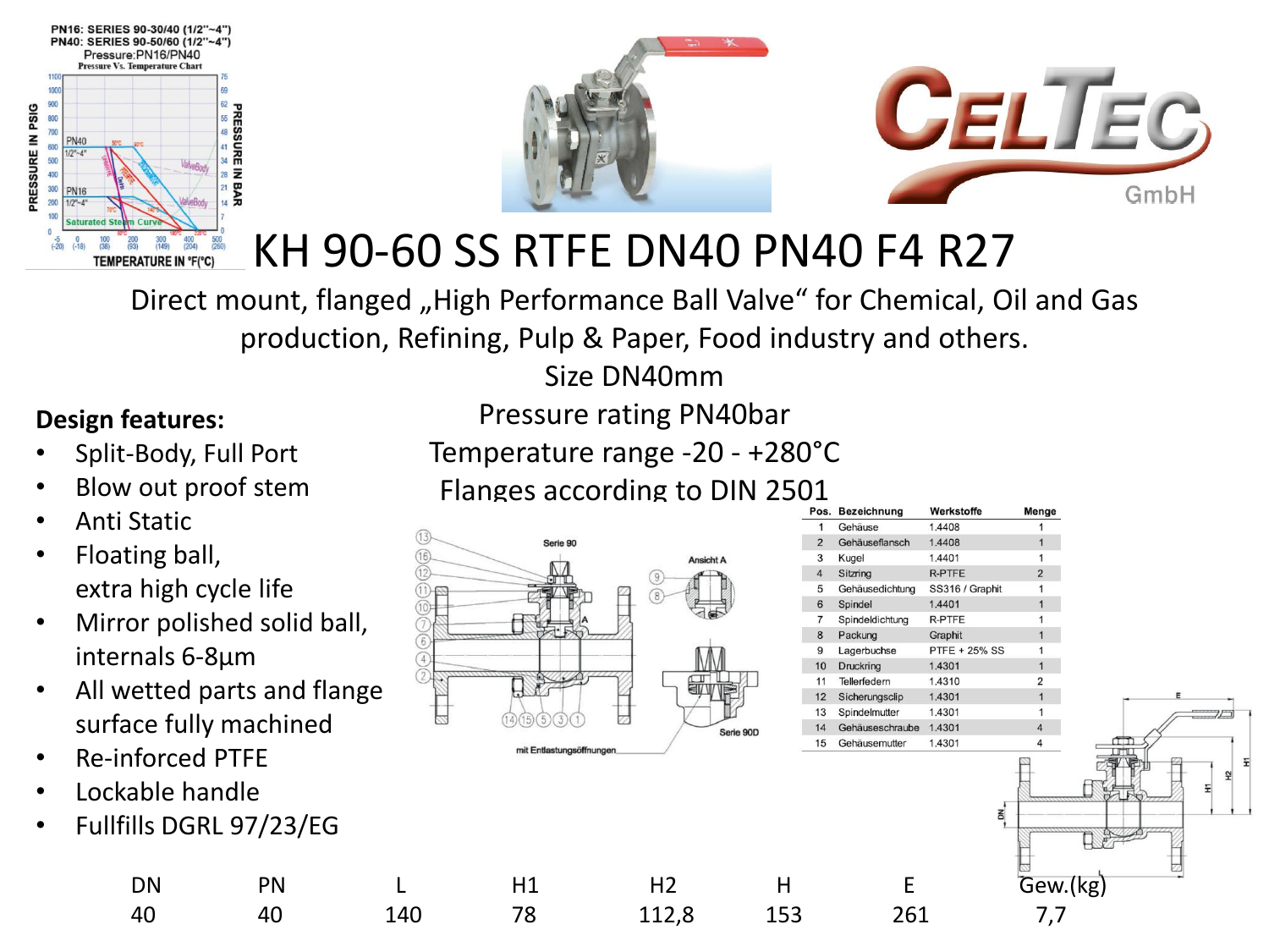



# KH 90-60 SS RTFE DN40 PN40 F4 R27

Direct mount, flanged "High Performance Ball Valve" for Chemical, Oil and Gas production, Refining, Pulp & Paper, Food industry and others.

Size DN40mm

### **Design features:**

- Split-Body, Full Port
- Blow out proof stem
- Anti Static
- Floating ball, extra high cycle life
- Mirror polished solid ball, internals 6-8µm
- All wetted parts and flange surface fully machined
- Re-inforced PTFE
- Lockable handle
- Fullfills DGRL 97/23/EG

Temperature range -20 - +280°C Flanges according to DIN 2501



| Pos.           | <b>Bezeichnung</b> | Werkstoffe           | Menge          |
|----------------|--------------------|----------------------|----------------|
| 1              | Gehäuse            | 1.4408               | 1              |
| $\overline{2}$ | Gehäuseflansch     | 1.4408               | 1              |
| 3              | Kugel              | 1.4401               | 1              |
| $\overline{4}$ | Sitzring           | <b>R-PTFE</b>        | $\overline{2}$ |
| 5              | Gehäusedichtung    | SS316 / Graphit      | 1              |
| 6              | Spindel            | 1.4401               | 1              |
| $\overline{7}$ | Spindeldichtung    | R-PTFE               | 1              |
| 8              | Packung            | Graphit              | 1              |
| 9              | Lagerbuchse        | <b>PTFE + 25% SS</b> | 1              |
| 10             | Druckring          | 1.4301               | $\overline{1}$ |
| 11             | Tellerfedern       | 1.4310               | 2              |
| 12             | Sicherungsclip     | 1.4301               | 1              |
| 13             | Spindelmutter      | 1.4301               | 1              |
| 14             | Gehäuseschraube    | 1.4301               | $\overline{4}$ |
| 15             | Gehäusemutter      | 1.4301               | 4              |
|                |                    | š                    |                |
|                |                    |                      |                |

| able handle | lls DGRL 97/23/EG |     |    |                |     |     |          |  |
|-------------|-------------------|-----|----|----------------|-----|-----|----------|--|
| DN          | PN                |     | H1 | H <sub>2</sub> |     |     | Gew.(kg) |  |
| 40          | 40                | 140 | 78 | 112,8          | 153 | 261 |          |  |